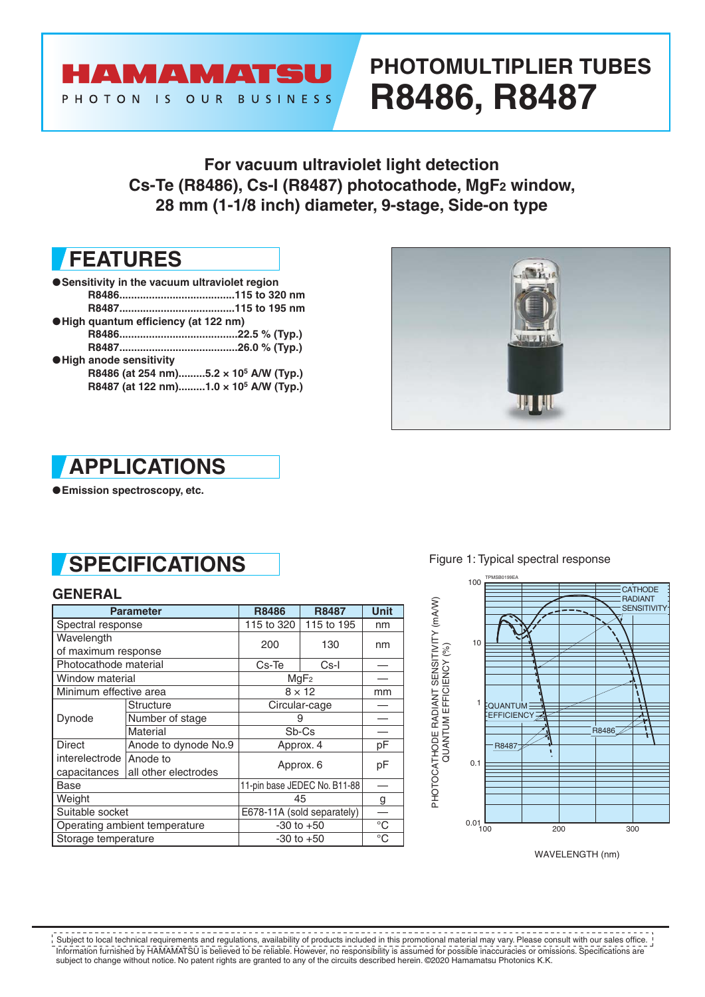

# **PHOTOMULTIPLIER TUBES R8486, R8487**

**For vacuum ultraviolet light detection Cs-Te (R8486), Cs-I (R8487) photocathode, MgF2 window, 28 mm (1-1/8 inch) diameter, 9-stage, Side-on type**

## **FEATURES**

●**Sensitivity in the vacuum ultraviolet region R8486.......................................115 to 320 nm R8487.......................................115 to 195 nm** ●**High quantum efficiency (at 122 nm) R8486........................................22.5 % (Typ.) R8487........................................26.0 % (Typ.)** ●**High anode sensitivity R8486 (at 254 nm).........5.2 × 105 A/W (Typ.) R8487 (at 122 nm).........1.0 × 105 A/W (Typ.)**





●**Emission spectroscopy, etc.**

## **SPECIFICATIONS**

### **GENERAL**

|                           | <b>Parameter</b>              | <b>R8486</b>                 | <b>R8487</b>          |    |  |  |
|---------------------------|-------------------------------|------------------------------|-----------------------|----|--|--|
| Spectral response         |                               | 115 to 320                   | nm                    |    |  |  |
| Wavelength                |                               | 200                          | 130                   |    |  |  |
| of maximum response       |                               |                              |                       | nm |  |  |
| Photocathode material     |                               | Cs-Te                        | Cs-I                  |    |  |  |
| Window material           |                               | MgF <sub>2</sub>             |                       |    |  |  |
| Minimum effective area    |                               | $8 \times 12$                | mm                    |    |  |  |
| Dynode                    | Structure                     | Circular-cage                |                       |    |  |  |
|                           | Number of stage               | 9                            |                       |    |  |  |
|                           | Material                      | Sb-Cs                        |                       |    |  |  |
| <b>Direct</b>             | Anode to dynode No.9          | Approx. 4                    | pF                    |    |  |  |
| interelectrode   Anode to |                               | Approx. 6                    |                       |    |  |  |
| capacitances              | all other electrodes          |                              | pF                    |    |  |  |
| Base                      |                               | 11-pin base JEDEC No. B11-88 |                       |    |  |  |
| Weight                    |                               | 45                           | g                     |    |  |  |
| Suitable socket           |                               | E678-11A (sold separately)   |                       |    |  |  |
|                           | Operating ambient temperature | $-30$ to $+50$               | $\overline{\text{C}}$ |    |  |  |
| Storage temperature       |                               | $-30$ to $+50$               | $^{\circ}C$           |    |  |  |

Figure 1: Typical spectral response



WAVELENGTH (nm)

Information furnished by HAMAMATSU is believed to be reliable. However, no responsibility is assumed for possible inaccuracies or omissions. Specifications are subject to change without notice. No patent rights are granted to any of the circuits described herein. ©2020 Hamamatsu Photonics K.K. Subject to local technical requirements and regulations, availability of products included in this promotional material may vary. Please consult with our sales office.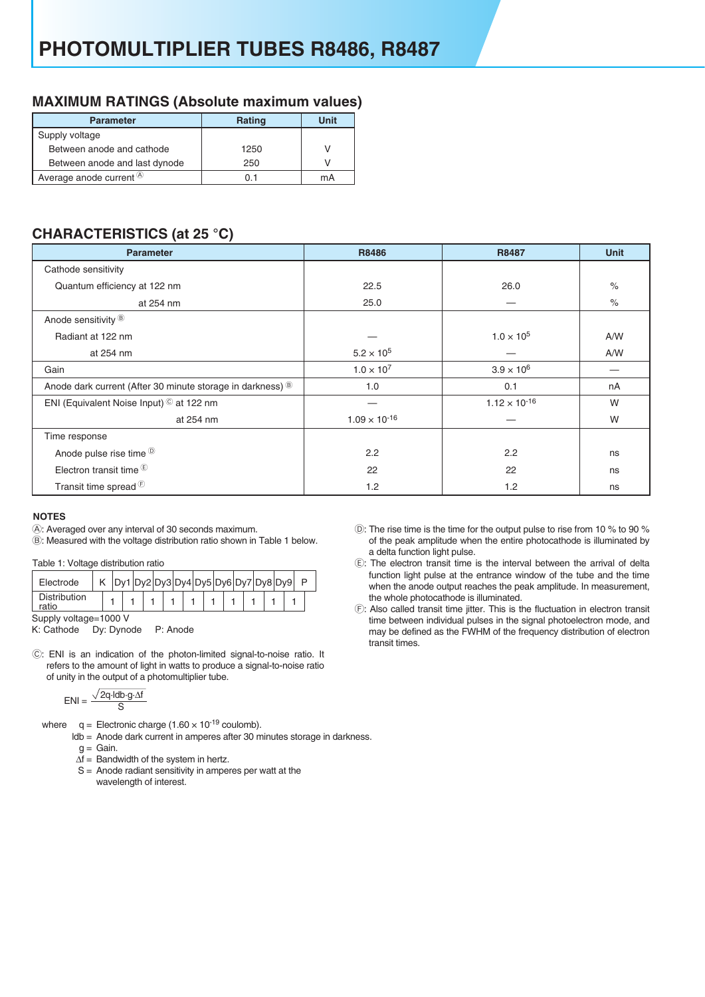### **MAXIMUM RATINGS (Absolute maximum values)**

| <b>Parameter</b>              | <b>Rating</b> | Unit |
|-------------------------------|---------------|------|
| Supply voltage                |               |      |
| Between anode and cathode     | 1250          | V    |
| Between anode and last dynode | 250           | V    |
| Average anode current $(4)$   | () 1          | mA   |

## **CHARACTERISTICS (at 25 °C)**

| $\mathbf{z}$<br><b>Parameter</b>                           | R8486                  | R8487                  | <b>Unit</b> |  |  |
|------------------------------------------------------------|------------------------|------------------------|-------------|--|--|
| Cathode sensitivity                                        |                        |                        |             |  |  |
| Quantum efficiency at 122 nm                               | 22.5                   | 26.0                   | $\%$        |  |  |
| at 254 nm                                                  | 25.0                   |                        | $\%$        |  |  |
| Anode sensitivity ®                                        |                        |                        |             |  |  |
| Radiant at 122 nm                                          |                        | $1.0 \times 10^{5}$    | A/W         |  |  |
| at 254 nm                                                  | $5.2 \times 10^{5}$    |                        | A/W         |  |  |
| Gain                                                       | $1.0 \times 10^{7}$    | $3.9 \times 10^{6}$    |             |  |  |
| Anode dark current (After 30 minute storage in darkness) ® | 1.0                    | 0.1                    | nA          |  |  |
| ENI (Equivalent Noise Input) © at 122 nm                   |                        | $1.12 \times 10^{-16}$ | W           |  |  |
| at 254 nm                                                  | $1.09 \times 10^{-16}$ |                        | W           |  |  |
| Time response                                              |                        |                        |             |  |  |
| Anode pulse rise time <sup>®</sup>                         | 2.2                    | 2.2                    | ns          |  |  |
| Electron transit time $\mathbb{E}$                         | 22                     | 22                     | ns          |  |  |
| Transit time spread <sup>(E)</sup>                         | 1.2                    | 1.2                    | ns          |  |  |

#### **NOTES**

A: Averaged over any interval of 30 seconds maximum.

B: Measured with the voltage distribution ratio shown in Table 1 below.

Table 1: Voltage distribution ratio

| Electrode                    |  |  |  |  |  |  |  |  |  |  | Dy1 Dy2 Dy3 Dy4 Dy5 Dy6 Dy7 Dy8 Dy9 |  |  |  |  |  |
|------------------------------|--|--|--|--|--|--|--|--|--|--|-------------------------------------|--|--|--|--|--|
| <b>Distribution</b><br>ratio |  |  |  |  |  |  |  |  |  |  |                                     |  |  |  |  |  |
| Supply voltage=1000 V        |  |  |  |  |  |  |  |  |  |  |                                     |  |  |  |  |  |

K: Cathode Dy: Dynode P: Anode

C: ENI is an indication of the photon-limited signal-to-noise ratio. It refers to the amount of light in watts to produce a signal-to-noise ratio of unity in the output of a photomultiplier tube.

$$
ENI = \frac{\sqrt{2q \cdot \text{Idb} \cdot g \cdot \Delta f}}{S}
$$

where  $q =$  Electronic charge (1.60  $\times$  10<sup>-19</sup> coulomb).

ldb = Anode dark current in amperes after 30 minutes storage in darkness.

g = Gain.

- $\Delta f =$  Bandwidth of the system in hertz.
- S = Anode radiant sensitivity in amperes per watt at the wavelength of interest.
- D: The rise time is the time for the output pulse to rise from 10 % to 90 % of the peak amplitude when the entire photocathode is illuminated by a delta function light pulse.
- E: The electron transit time is the interval between the arrival of delta function light pulse at the entrance window of the tube and the time when the anode output reaches the peak amplitude. In measurement, the whole photocathode is illuminated.
- F: Also called transit time jitter. This is the fluctuation in electron transit time between individual pulses in the signal photoelectron mode, and may be defined as the FWHM of the frequency distribution of electron transit times.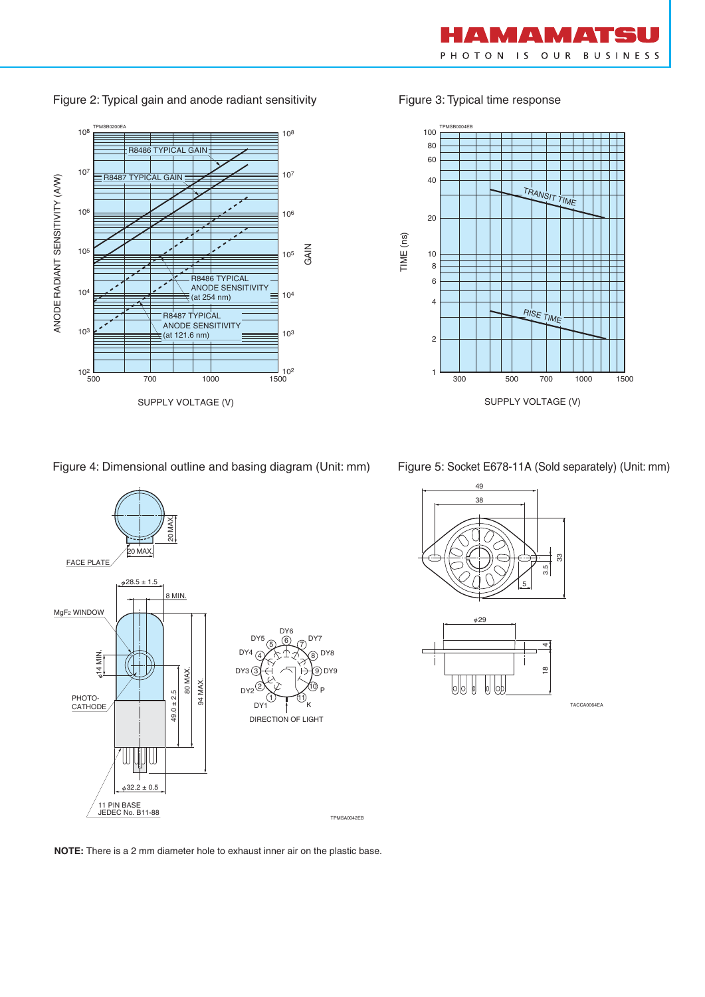

TRANSIT TIME

Figure 3: Typical time response

TPMSB0004EB

TIME (ns)

1

2

20

Figure 2: Typical gain and anode radiant sensitivity



Figure 4: Dimensional outline and basing diagram (Unit: mm)



Figure 5: Socket E678-11A (Sold separately) (Unit: mm)

300 500 700 1000 1500

RISE TIME

SUPPLY VOLTAGE (V)





TACCA0064EA

**NOTE:** There is a 2 mm diameter hole to exhaust inner air on the plastic base.